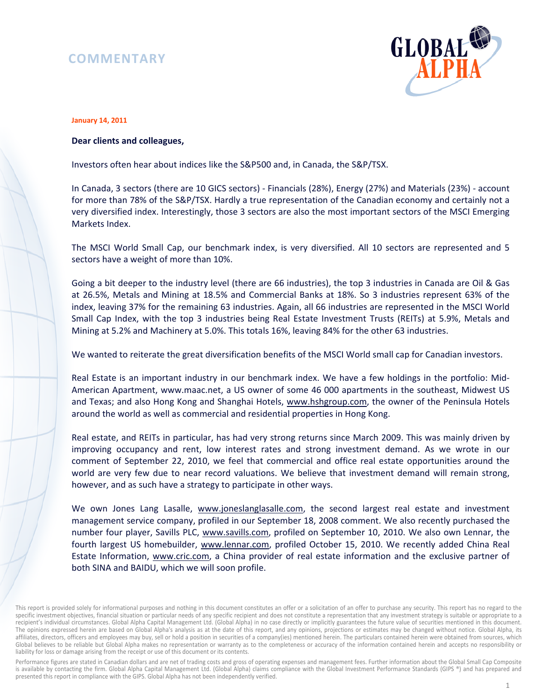# **COMMENTARY**



#### **January 14, 2011**

## **Dear clients and colleagues,**

Investors often hear about indices like the S&P500 and, in Canada, the S&P/TSX.

In Canada, 3 sectors (there are 10 GICS sectors) - Financials (28%), Energy (27%) and Materials (23%) - account for more than 78% of the S&P/TSX. Hardly a true representation of the Canadian economy and certainly not a very diversified index. Interestingly, those 3 sectors are also the most important sectors of the MSCI Emerging Markets Index.

The MSCI World Small Cap, our benchmark index, is very diversified. All 10 sectors are represented and 5 sectors have a weight of more than 10%.

Going a bit deeper to the industry level (there are 66 industries), the top 3 industries in Canada are Oil & Gas at 26.5%, Metals and Mining at 18.5% and Commercial Banks at 18%. So 3 industries represent 63% of the index, leaving 37% for the remaining 63 industries. Again, all 66 industries are represented in the MSCI World Small Cap Index, with the top 3 industries being Real Estate Investment Trusts (REITs) at 5.9%, Metals and Mining at 5.2% and Machinery at 5.0%. This totals 16%, leaving 84% for the other 63 industries.

We wanted to reiterate the great diversification benefits of the MSCI World small cap for Canadian investors.

Real Estate is an important industry in our benchmark index. We have a few holdings in the portfolio: Mid-American Apartment, www.maac.net, a US owner of some 46 000 apartments in the southeast, Midwest US and Texas; and also Hong Kong and Shanghai Hotels, www.hshgroup.com, the owner of the Peninsula Hotels around the world as well as commercial and residential properties in Hong Kong.

Real estate, and REITs in particular, has had very strong returns since March 2009. This was mainly driven by improving occupancy and rent, low interest rates and strong investment demand. As we wrote in our comment of September 22, 2010, we feel that commercial and office real estate opportunities around the world are very few due to near record valuations. We believe that investment demand will remain strong, however, and as such have a strategy to participate in other ways.

We own Jones Lang Lasalle, www.joneslanglasalle.com, the second largest real estate and investment management service company, profiled in our September 18, 2008 comment. We also recently purchased the number four player, Savills PLC, www.savills.com, profiled on September 10, 2010. We also own Lennar, the fourth largest US homebuilder, www.lennar.com, profiled October 15, 2010. We recently added China Real Estate Information, www.cric.com, a China provider of real estate information and the exclusive partner of both SINA and BAIDU, which we will soon profile.

Performance figures are stated in Canadian dollars and are net of trading costs and gross of operating expenses and management fees. Further information about the Global Small Cap Composite is available by contacting the firm. Global Alpha Capital Management Ltd. (Global Alpha) claims compliance with the Global Investment Performance Standards (GIPS ®) and has prepared and presented this report in compliance with the GIPS. Global Alpha has not been independently verified.

This report is provided solely for informational purposes and nothing in this document constitutes an offer or a solicitation of an offer to purchase any security. This report has no regard to the specific investment objectives, financial situation or particular needs of any specific recipient and does not constitute a representation that any investment strategy is suitable or appropriate to a recipient's individual circumstances. Global Alpha Capital Management Ltd. (Global Alpha) in no case directly or implicitly guarantees the future value of securities mentioned in this document. The opinions expressed herein are based on Global Alpha's analysis as at the date of this report, and any opinions, projections or estimates may be changed without notice. Global Alpha, its affiliates, directors, officers and employees may buy, sell or hold a position in securities of a company(ies) mentioned herein. The particulars contained herein were obtained from sources, which Global believes to be reliable but Global Alpha makes no representation or warranty as to the completeness or accuracy of the information contained herein and accepts no responsibility or liability for loss or damage arising from the receipt or use of this document or its contents.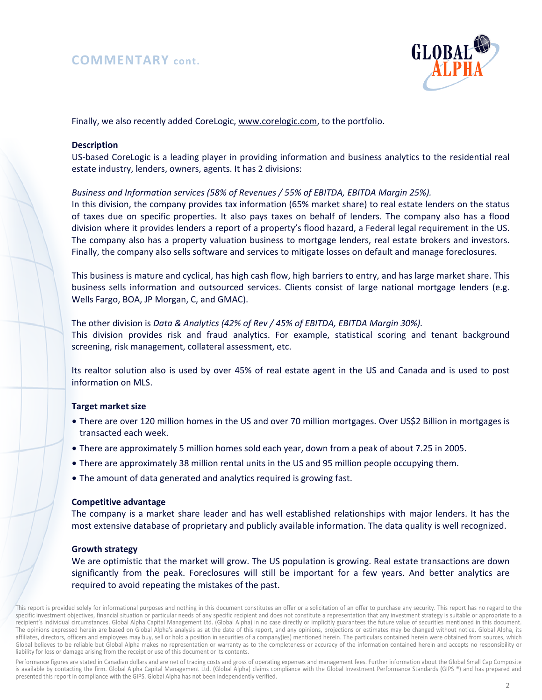## **COMMENTARY cont.**



Finally, we also recently added CoreLogic, www.corelogic.com, to the portfolio.

## **Description**

US-based CoreLogic is a leading player in providing information and business analytics to the residential real estate industry, lenders, owners, agents. It has 2 divisions:

## *Business and Information services (58% of Revenues / 55% of EBITDA, EBITDA Margin 25%).*

In this division, the company provides tax information (65% market share) to real estate lenders on the status of taxes due on specific properties. It also pays taxes on behalf of lenders. The company also has a flood division where it provides lenders a report of a property's flood hazard, a Federal legal requirement in the US. The company also has a property valuation business to mortgage lenders, real estate brokers and investors. Finally, the company also sells software and services to mitigate losses on default and manage foreclosures.

This business is mature and cyclical, has high cash flow, high barriers to entry, and has large market share. This business sells information and outsourced services. Clients consist of large national mortgage lenders (e.g. Wells Fargo, BOA, JP Morgan, C, and GMAC).

The other division is *Data & Analytics (42% of Rev / 45% of EBITDA, EBITDA Margin 30%).* This division provides risk and fraud analytics. For example, statistical scoring and tenant background screening, risk management, collateral assessment, etc.

Its realtor solution also is used by over 45% of real estate agent in the US and Canada and is used to post information on MLS.

#### **Target market size**

- There are over 120 million homes in the US and over 70 million mortgages. Over US\$2 Billion in mortgages is transacted each week.
- There are approximately 5 million homes sold each year, down from a peak of about 7.25 in 2005.
- There are approximately 38 million rental units in the US and 95 million people occupying them.
- The amount of data generated and analytics required is growing fast.

#### **Competitive advantage**

The company is a market share leader and has well established relationships with major lenders. It has the most extensive database of proprietary and publicly available information. The data quality is well recognized.

#### **Growth strategy**

We are optimistic that the market will grow. The US population is growing. Real estate transactions are down significantly from the peak. Foreclosures will still be important for a few years. And better analytics are required to avoid repeating the mistakes of the past.

This report is provided solely for informational purposes and nothing in this document constitutes an offer or a solicitation of an offer to purchase any security. This report has no regard to the specific investment objectives, financial situation or particular needs of any specific recipient and does not constitute a representation that any investment strategy is suitable or appropriate to a recipient's individual circumstances. Global Alpha Capital Management Ltd. (Global Alpha) in no case directly or implicitly guarantees the future value of securities mentioned in this document. The opinions expressed herein are based on Global Alpha's analysis as at the date of this report, and any opinions, projections or estimates may be changed without notice. Global Alpha, its affiliates, directors, officers and employees may buy, sell or hold a position in securities of a company(ies) mentioned herein. The particulars contained herein were obtained from sources, which Global believes to be reliable but Global Alpha makes no representation or warranty as to the completeness or accuracy of the information contained herein and accepts no responsibility or liability for loss or damage arising from the receipt or use of this document or its contents.

Performance figures are stated in Canadian dollars and are net of trading costs and gross of operating expenses and management fees. Further information about the Global Small Cap Composite is available by contacting the firm. Global Alpha Capital Management Ltd. (Global Alpha) claims compliance with the Global Investment Performance Standards (GIPS ®) and has prepared and presented this report in compliance with the GIPS. Global Alpha has not been independently verified.